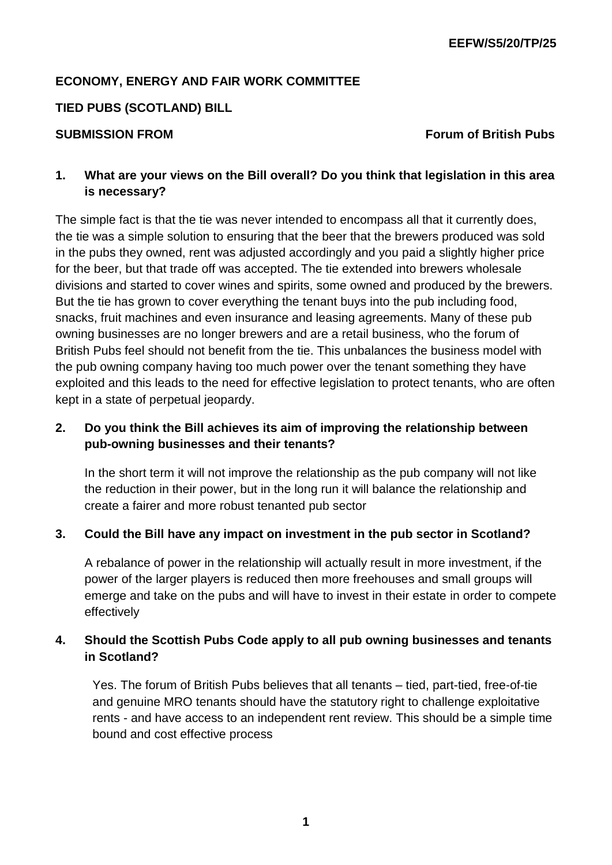## **ECONOMY, ENERGY AND FAIR WORK COMMITTEE**

#### **TIED PUBS (SCOTLAND) BILL**

#### **SUBMISSION FROM FORM FOR A SUBMISSION FROM**

# **1. What are your views on the Bill overall? Do you think that legislation in this area is necessary?**

The simple fact is that the tie was never intended to encompass all that it currently does, the tie was a simple solution to ensuring that the beer that the brewers produced was sold in the pubs they owned, rent was adjusted accordingly and you paid a slightly higher price for the beer, but that trade off was accepted. The tie extended into brewers wholesale divisions and started to cover wines and spirits, some owned and produced by the brewers. But the tie has grown to cover everything the tenant buys into the pub including food, snacks, fruit machines and even insurance and leasing agreements. Many of these pub owning businesses are no longer brewers and are a retail business, who the forum of British Pubs feel should not benefit from the tie. This unbalances the business model with the pub owning company having too much power over the tenant something they have exploited and this leads to the need for effective legislation to protect tenants, who are often kept in a state of perpetual jeopardy.

# **2. Do you think the Bill achieves its aim of improving the relationship between pub-owning businesses and their tenants?**

In the short term it will not improve the relationship as the pub company will not like the reduction in their power, but in the long run it will balance the relationship and create a fairer and more robust tenanted pub sector

#### **3. Could the Bill have any impact on investment in the pub sector in Scotland?**

A rebalance of power in the relationship will actually result in more investment, if the power of the larger players is reduced then more freehouses and small groups will emerge and take on the pubs and will have to invest in their estate in order to compete effectively

# **4. Should the Scottish Pubs Code apply to all pub owning businesses and tenants in Scotland?**

Yes. The forum of British Pubs believes that all tenants – tied, part-tied, free-of-tie and genuine MRO tenants should have the statutory right to challenge exploitative rents - and have access to an independent rent review. This should be a simple time bound and cost effective process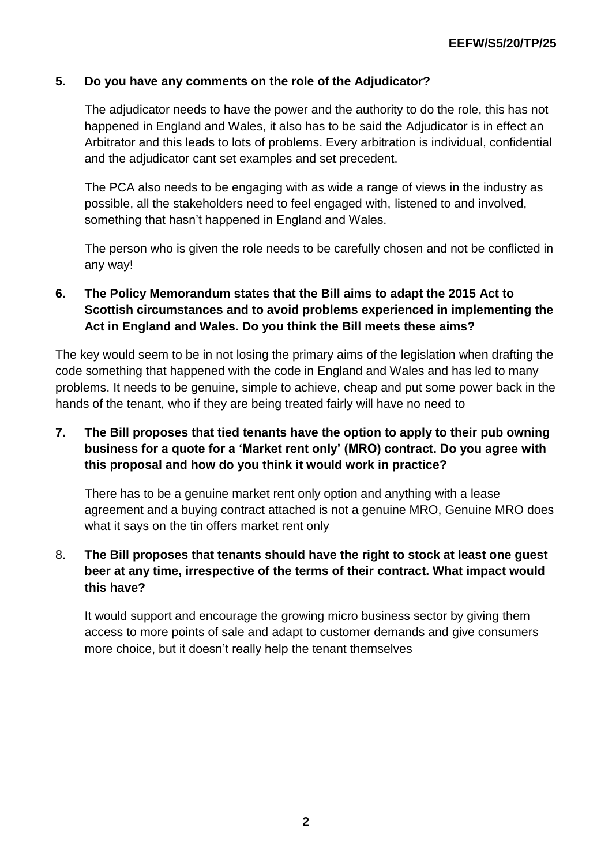#### **5. Do you have any comments on the role of the Adjudicator?**

The adjudicator needs to have the power and the authority to do the role, this has not happened in England and Wales, it also has to be said the Adjudicator is in effect an Arbitrator and this leads to lots of problems. Every arbitration is individual, confidential and the adjudicator cant set examples and set precedent.

The PCA also needs to be engaging with as wide a range of views in the industry as possible, all the stakeholders need to feel engaged with, listened to and involved, something that hasn't happened in England and Wales.

The person who is given the role needs to be carefully chosen and not be conflicted in any way!

# **6. The Policy Memorandum states that the Bill aims to adapt the 2015 Act to Scottish circumstances and to avoid problems experienced in implementing the Act in England and Wales. Do you think the Bill meets these aims?**

The key would seem to be in not losing the primary aims of the legislation when drafting the code something that happened with the code in England and Wales and has led to many problems. It needs to be genuine, simple to achieve, cheap and put some power back in the hands of the tenant, who if they are being treated fairly will have no need to

# **7. The Bill proposes that tied tenants have the option to apply to their pub owning business for a quote for a 'Market rent only' (MRO) contract. Do you agree with this proposal and how do you think it would work in practice?**

There has to be a genuine market rent only option and anything with a lease agreement and a buying contract attached is not a genuine MRO, Genuine MRO does what it says on the tin offers market rent only

# 8. **The Bill proposes that tenants should have the right to stock at least one guest beer at any time, irrespective of the terms of their contract. What impact would this have?**

It would support and encourage the growing micro business sector by giving them access to more points of sale and adapt to customer demands and give consumers more choice, but it doesn't really help the tenant themselves